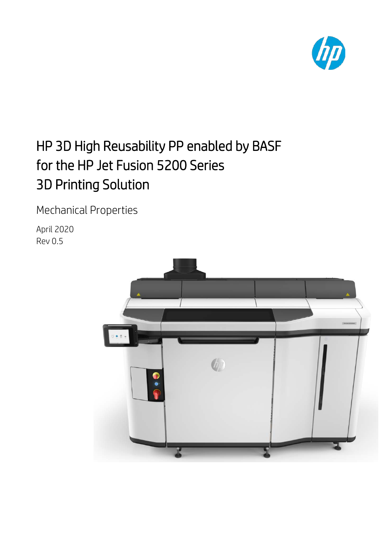

# HP 3D High Reusability PP enabled by BASF for the HP Jet Fusion 5200 Series 3D Printing Solution

Mechanical Properties

April 2020 Rev 0.5

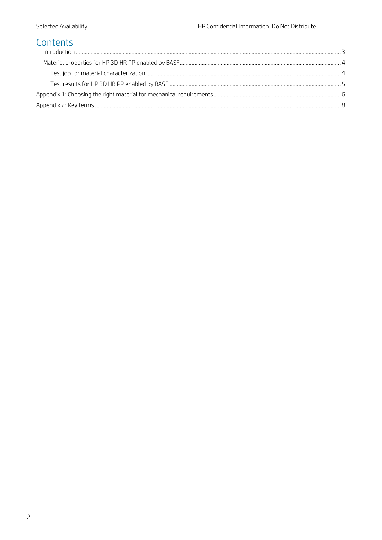# Contents

| $\int_0^{\pi} \frac{1}{2} \int_0^{\pi} \frac{1}{2} \int_0^{\pi} \frac{1}{2} \int_0^{\pi} \frac{1}{2} \int_0^{\pi} \frac{1}{2} \int_0^{\pi} \frac{1}{2} \int_0^{\pi} \frac{1}{2} \int_0^{\pi} \frac{1}{2} \int_0^{\pi} \frac{1}{2} \int_0^{\pi} \frac{1}{2} \int_0^{\pi} \frac{1}{2} \int_0^{\pi} \frac{1}{2} \int_0^{\pi} \frac{1}{2} \int_0^{\pi} \frac{1}{2} \int_0^{\pi} \frac$ |  |
|------------------------------------------------------------------------------------------------------------------------------------------------------------------------------------------------------------------------------------------------------------------------------------------------------------------------------------------------------------------------------------|--|
|                                                                                                                                                                                                                                                                                                                                                                                    |  |
|                                                                                                                                                                                                                                                                                                                                                                                    |  |
|                                                                                                                                                                                                                                                                                                                                                                                    |  |
|                                                                                                                                                                                                                                                                                                                                                                                    |  |
|                                                                                                                                                                                                                                                                                                                                                                                    |  |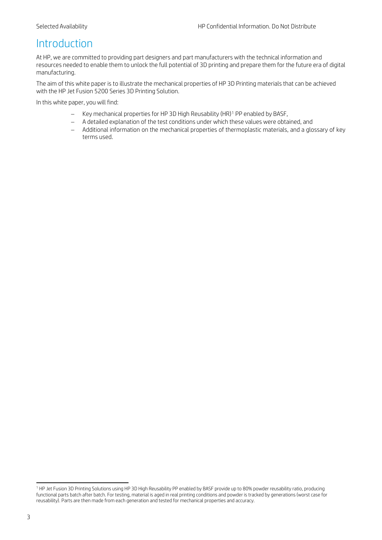### <span id="page-2-0"></span>Introduction

At HP, we are committed to providing part designers and part manufacturers with the technical information and resources needed to enable them to unlock the full potential of 3D printing and prepare them for the future era of digital manufacturing.

The aim of this white paper is to illustrate the mechanical properties of HP 3D Printing materials that can be achieved with the HP Jet Fusion 5200 Series 3D Printing Solution.

In this white paper, you will find:

- − Key mechanical properties for HP 3D High Reusability (HR)[1](#page-2-1) PP enabled by BASF,
- − A detailed explanation of the test conditions under which these values were obtained, and
- − Additional information on the mechanical properties of thermoplastic materials, and a glossary of key terms used.

<span id="page-2-1"></span> reusability). Parts are then made from each generation and tested for mechanical properties and accuracy.<sup>1</sup> HP Jet Fusion 3D Printing Solutions using HP 3D High Reusability PP enabled by BASF provide up to 80% powder reusability ratio, producing functional parts batch after batch. For testing, material is aged in real printing conditions and powder is tracked by generations (worst case for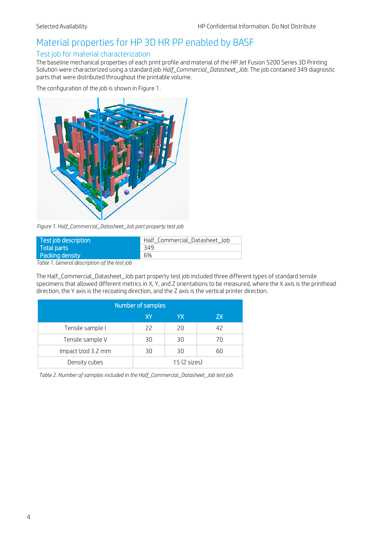# <span id="page-3-0"></span>Material properties for HP 3D HR PP enabled by BASF

#### <span id="page-3-1"></span>Test job for material characterization

The baseline mechanical properties of each print profile and material of the HP Jet Fusion 5200 Series 3D Printing Solution were characterized using a standard job *Half\_Commercial\_Datasheet\_Job*. The job contained 349 diagnostic parts that were distributed throughout the printable volume.

The configuration of the job is shown in [Figure 1.](#page-3-2)



*Figure 1. Half\_Commercial\_Datasheet\_Job part property test job*

<span id="page-3-2"></span>

| Test job description | Half_Commercial_Datasheet_Job |
|----------------------|-------------------------------|
| Total parts          | 349                           |
| Packing density      | 6%                            |
|                      |                               |

*Table 1. General description of the test job*

The Half\_Commercial\_Datasheet\_Job part property test job included three different types of standard tensile specimens that allowed different metrics in X, Y, and Z orientations to be measured, where the X axis is the printhead direction, the Y axis is the recoating direction, and the Z axis is the vertical printer direction.

| Number of samples  |              |    |    |  |
|--------------------|--------------|----|----|--|
|                    | lΧY          | YΧ | ZХ |  |
| Tensile sample I   | 22           | 20 | 42 |  |
| Tensile sample V   | 30           | 30 | 70 |  |
| Impact Izod 3.2 mm | 30           | 30 | 60 |  |
| Density cubes      | 15 (2 sizes) |    |    |  |

*Table 2. Number of samples included in the Half\_Commercial\_Datasheet\_Job test job*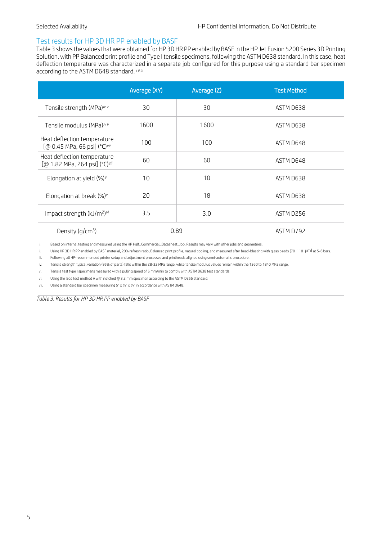#### <span id="page-4-0"></span>Test results for HP 3D HR PP enabled by BASF

[Table 3](#page-4-1) shows the values that were obtained for HP 3D HR PP enabled by BASF in the HP Jet Fusion 5200 Series 3D Printing Solution, with PP Balanced print profile and Type I tensile specimens, following the ASTM D638 standard. In this case, heat deflection temperature was characterized in a separate job configured for this purpose using a standard bar specimen according to the ASTM D648 standard[.](#page-4-2) *<sup>i</sup> [ii](#page-4-3) [iii](#page-4-4)*

|                                                                          | Average (XY) | Average (Z) | <b>Test Method</b> |
|--------------------------------------------------------------------------|--------------|-------------|--------------------|
| Tensile strength (MPa) <sup>iv v</sup>                                   | 30           | 30          | ASTM D638          |
| Tensile modulus (MPa) <sup>iv v</sup>                                    | 1600         | 1600        | ASTM D638          |
| Heat deflection temperature<br>[@ 0.45 MPa, 66 psi] (°C) <sup>vii</sup>  | 100          | 100         | ASTM D648          |
| Heat deflection temperature<br>[@ 1.82 MPa, 264 psi] (°C) <sup>vii</sup> | 60           | 60          | ASTM D648          |
| Elongation at yield $(\%)^{\vee}$                                        | 10           | 10          | ASTM D638          |
| Elongation at break $(\%)^{\vee}$                                        | 20           | 18          | ASTM D638          |
| Impact strength (kJ/m <sup>2</sup> ) <sup>vi</sup>                       | 3.5          | 3.0         | ASTM D256          |
| Density $(q/cm^3)$                                                       |              | 0.89        | ASTM D792          |

<span id="page-4-2"></span>i. Based on internal testing and measured using the HP Half\_Commercial\_Datasheet\_Job. Results may vary with other jobs and geometries.

<span id="page-4-3"></span>ii. Using HP 3D HR PP enabled by BASF material, 20% refresh ratio, Balanced print profile, natural cooling, and measured after bead-blasting with glass beads (70–110 µm) at 5-6 bars.

<span id="page-4-4"></span>iii. Following all HP-recommended printer setup and adjustment processes and printheads aligned using semi-automatic procedure.

<span id="page-4-5"></span>iv. Tensile strength typical variation (95% of parts) falls within the 28-32 MPa range, while tensile modulus values remain within the 1360 to 1840 MPa range.

<span id="page-4-6"></span> $\vert v$ . Tensile test type I specimens measured with a pulling speed of 5 mm/min to comply with ASTM D638 test standards.

<span id="page-4-8"></span>vi. Using the Izod test method A with notched @ 3.2 mm specimen according to the ASTM D256 standard.

<span id="page-4-7"></span>vii. Using a standard bar specimen measuring 5" x 1/2" x 1/4" in accordance with ASTM D648.

<span id="page-4-1"></span>*Table 3. Results for HP 3D HR PP enabled by BASF*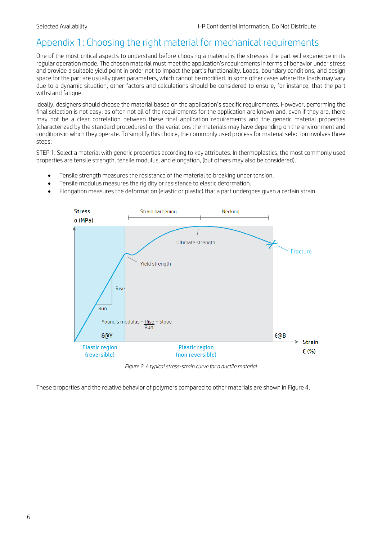## <span id="page-5-0"></span>Appendix 1: Choosing the right material for mechanical requirements

One of the most critical aspects to understand before choosing a material is the stresses the part will experience in its regular operation mode. The chosen material must meet the application's requirements in terms of behavior under stress and provide a suitable yield point in order not to impact the part's functionality. Loads, boundary conditions, and design space for the part are usually given parameters, which cannot be modified. In some other cases where the loads may vary due to a dynamic situation, other factors and calculations should be considered to ensure, for instance, that the part withstand fatigue.

Ideally, designers should choose the material based on the application's specific requirements. However, performing the final selection is not easy, as often not all of the requirements for the application are known and, even if they are, there may not be a clear correlation between these final application requirements and the generic material properties (characterized by the standard procedures) or the variations the materials may have depending on the environment and conditions in which they operate. To simplify this choice, the commonly used process for material selection involves three steps:

STEP 1: Select a material with generic properties according to key attributes. In thermoplastics, the most commonly used properties are tensile strength, tensile modulus, and elongation, (but others may also be considered).

- Tensile strength measures the resistance of the material to breaking under tension.
- Tensile modulus measures the rigidity or resistance to elastic deformation.
- Elongation measures the deformation (elastic or plastic) that a part undergoes given a certain strain.



*Figure 2. A typical stress-strain curve for a ductile material*

These properties and the relative behavior of polymers compared to other materials are shown in [Figure 4.](#page-6-0)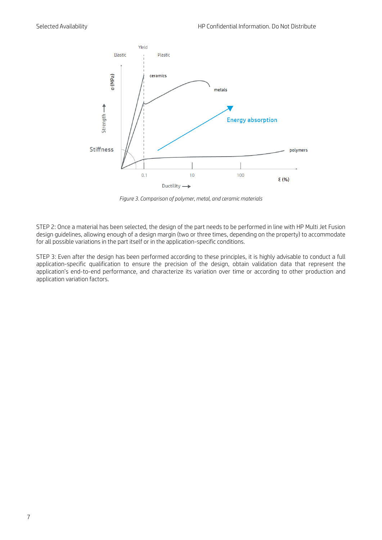

*Figure 3. Comparison of polymer, metal, and ceramic materials*

<span id="page-6-0"></span>STEP 2: Once a material has been selected, the design of the part needs to be performed in line with HP Multi Jet Fusion design guidelines, allowing enough of a design margin (two or three times, depending on the property) to accommodate for all possible variations in the part itself or in the application-specific conditions.

STEP 3: Even after the design has been performed according to these principles, it is highly advisable to conduct a full application-specific qualification to ensure the precision of the design, obtain validation data that represent the application's end-to-end performance, and characterize its variation over time or according to other production and application variation factors.